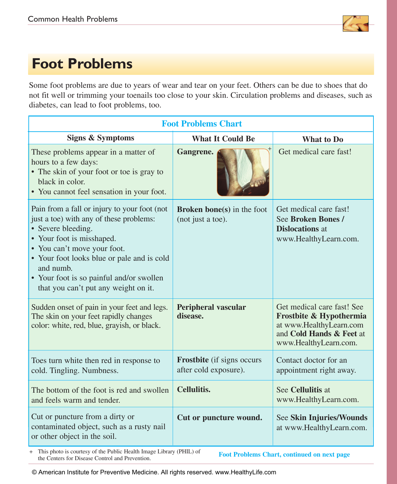

# **Foot Problems**

Some foot problems are due to years of wear and tear on your feet. Others can be due to shoes that do not fit well or trimming your toenails too close to your skin. Circulation problems and diseases, such as diabetes, can lead to foot problems, too.

| <b>Foot Problems Chart</b>                                                                                                                                                                                                                                                                                               |                                                            |                                                                                                                                       |  |
|--------------------------------------------------------------------------------------------------------------------------------------------------------------------------------------------------------------------------------------------------------------------------------------------------------------------------|------------------------------------------------------------|---------------------------------------------------------------------------------------------------------------------------------------|--|
| <b>Signs &amp; Symptoms</b>                                                                                                                                                                                                                                                                                              | <b>What It Could Be</b>                                    | <b>What to Do</b>                                                                                                                     |  |
| These problems appear in a matter of<br>hours to a few days:<br>• The skin of your foot or toe is gray to<br>black in color.<br>• You cannot feel sensation in your foot.                                                                                                                                                | Gangrene.                                                  | Get medical care fast!                                                                                                                |  |
| Pain from a fall or injury to your foot (not<br>just a toe) with any of these problems:<br>• Severe bleeding.<br>• Your foot is misshaped.<br>• You can't move your foot.<br>• Your foot looks blue or pale and is cold<br>and numb.<br>• Your foot is so painful and/or swollen<br>that you can't put any weight on it. | <b>Broken bone(s)</b> in the foot<br>(not just a toe).     | Get medical care fast!<br>See Broken Bones /<br><b>Dislocations</b> at<br>www.HealthyLearn.com.                                       |  |
| Sudden onset of pain in your feet and legs.<br>The skin on your feet rapidly changes<br>color: white, red, blue, grayish, or black.                                                                                                                                                                                      | <b>Peripheral vascular</b><br>disease.                     | Get medical care fast! See<br>Frostbite & Hypothermia<br>at www.HealthyLearn.com<br>and Cold Hands & Feet at<br>www.HealthyLearn.com. |  |
| Toes turn white then red in response to<br>cold. Tingling. Numbness.                                                                                                                                                                                                                                                     | <b>Frostbite</b> (if signs occurs<br>after cold exposure). | Contact doctor for an<br>appointment right away.                                                                                      |  |
| The bottom of the foot is red and swollen<br>and feels warm and tender.                                                                                                                                                                                                                                                  | <b>Cellulitis.</b>                                         | See Cellulitis at<br>www.HealthyLearn.com.                                                                                            |  |
| Cut or puncture from a dirty or<br>contaminated object, such as a rusty nail<br>or other object in the soil.                                                                                                                                                                                                             | Cut or puncture wound.                                     | <b>See Skin Injuries/Wounds</b><br>at www.HealthyLearn.com.                                                                           |  |

+ This photo is courtesy of the Public Health Image Library (PHIL) of the Centers for Disease Control and Prevention.

**Foot Problems Chart, continued on next page**

© American Institute for Preventive Medicine. All rights reserved. www.HealthyLife.com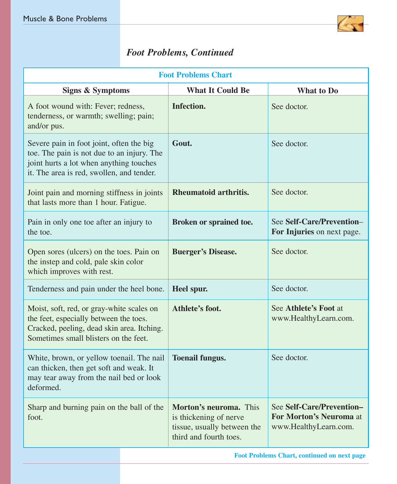

### *Foot Problems, Continued*

| <b>Foot Problems Chart</b>                                                                                                                                                     |                                                                                                           |                                                                               |  |
|--------------------------------------------------------------------------------------------------------------------------------------------------------------------------------|-----------------------------------------------------------------------------------------------------------|-------------------------------------------------------------------------------|--|
| <b>Signs &amp; Symptoms</b>                                                                                                                                                    | <b>What It Could Be</b>                                                                                   | What to Do                                                                    |  |
| A foot wound with: Fever; redness,<br>tenderness, or warmth; swelling; pain;<br>and/or pus.                                                                                    | Infection.                                                                                                | See doctor.                                                                   |  |
| Severe pain in foot joint, often the big<br>toe. The pain is not due to an injury. The<br>joint hurts a lot when anything touches<br>it. The area is red, swollen, and tender. | Gout.                                                                                                     | See doctor.                                                                   |  |
| Joint pain and morning stiffness in joints<br>that lasts more than 1 hour. Fatigue.                                                                                            | Rheumatoid arthritis.                                                                                     | See doctor.                                                                   |  |
| Pain in only one toe after an injury to<br>the toe.                                                                                                                            | Broken or sprained toe.                                                                                   | See Self-Care/Prevention-<br>For Injuries on next page.                       |  |
| Open sores (ulcers) on the toes. Pain on<br>the instep and cold, pale skin color<br>which improves with rest.                                                                  | <b>Buerger's Disease.</b>                                                                                 | See doctor.                                                                   |  |
| Tenderness and pain under the heel bone.                                                                                                                                       | Heel spur.                                                                                                | See doctor.                                                                   |  |
| Moist, soft, red, or gray-white scales on<br>the feet, especially between the toes.<br>Cracked, peeling, dead skin area. Itching.<br>Sometimes small blisters on the feet.     | Athlete's foot.                                                                                           | See Athlete's Foot at<br>www.HealthyLearn.com.                                |  |
| White, brown, or yellow toenail. The nail<br>can thicken, then get soft and weak. It<br>may tear away from the nail bed or look<br>deformed.                                   | <b>Toenail fungus.</b>                                                                                    | See doctor.                                                                   |  |
| Sharp and burning pain on the ball of the<br>foot.                                                                                                                             | Morton's neuroma. This<br>is thickening of nerve<br>tissue, usually between the<br>third and fourth toes. | See Self-Care/Prevention-<br>For Morton's Neuroma at<br>www.HealthyLearn.com. |  |
| <b>Foot Problems Chart, continued on next page</b>                                                                                                                             |                                                                                                           |                                                                               |  |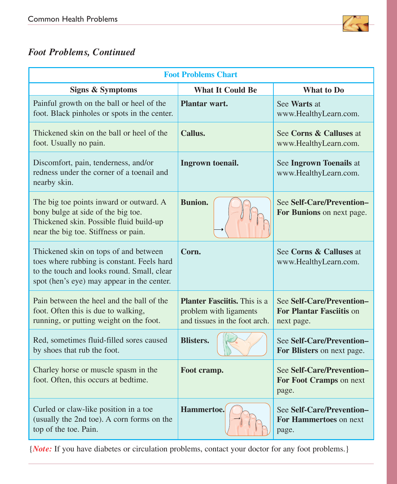

### *Foot Problems, Continued*

| <b>Foot Problems Chart</b>                                                                                                                                                      |                                                                                                |                                                                            |  |
|---------------------------------------------------------------------------------------------------------------------------------------------------------------------------------|------------------------------------------------------------------------------------------------|----------------------------------------------------------------------------|--|
| <b>Signs &amp; Symptoms</b>                                                                                                                                                     | <b>What It Could Be</b>                                                                        | What to Do                                                                 |  |
| Painful growth on the ball or heel of the<br>foot. Black pinholes or spots in the center.                                                                                       | Plantar wart.                                                                                  | See Warts at<br>www.HealthyLearn.com.                                      |  |
| Thickened skin on the ball or heel of the<br>foot. Usually no pain.                                                                                                             | Callus.                                                                                        | See Corns & Calluses at<br>www.HealthyLearn.com.                           |  |
| Discomfort, pain, tenderness, and/or<br>redness under the corner of a toenail and<br>nearby skin.                                                                               | Ingrown toenail.                                                                               | See Ingrown Toenails at<br>www.HealthyLearn.com.                           |  |
| The big toe points inward or outward. A<br>bony bulge at side of the big toe.<br>Thickened skin. Possible fluid build-up<br>near the big toe. Stiffness or pain.                | <b>Bunion.</b>                                                                                 | See Self-Care/Prevention-<br>For Bunions on next page.                     |  |
| Thickened skin on tops of and between<br>toes where rubbing is constant. Feels hard<br>to the touch and looks round. Small, clear<br>spot (hen's eye) may appear in the center. | Corn.                                                                                          | See Corns & Calluses at<br>www.HealthyLearn.com.                           |  |
| Pain between the heel and the ball of the<br>foot. Often this is due to walking,<br>running, or putting weight on the foot.                                                     | <b>Planter Fasciitis.</b> This is a<br>problem with ligaments<br>and tissues in the foot arch. | See Self-Care/Prevention-<br><b>For Plantar Fasciitis on</b><br>next page. |  |
| Red, sometimes fluid-filled sores caused<br>by shoes that rub the foot.                                                                                                         | <b>Blisters.</b>                                                                               | See Self-Care/Prevention-<br>For Blisters on next page.                    |  |
| Charley horse or muscle spasm in the<br>foot. Often, this occurs at bedtime.                                                                                                    | Foot cramp.                                                                                    | See Self-Care/Prevention-<br>For Foot Cramps on next<br>page.              |  |
| Curled or claw-like position in a toe<br>(usually the 2nd toe). A corn forms on the<br>top of the toe. Pain.                                                                    | Hammertoe.                                                                                     | See Self-Care/Prevention-<br>For Hammertoes on next<br>page.               |  |

{*Note:* If you have diabetes or circulation problems, contact your doctor for any foot problems.}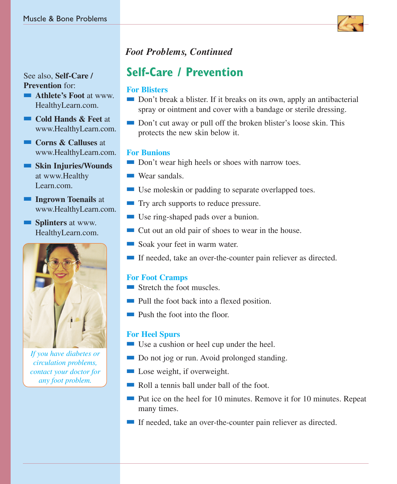See also, **Self-Care / Prevention** for:

- **n Athlete's Foot** at www. HealthyLearn.com.
- n **Cold Hands & Feet** at www.HealthyLearn.com.
- n **Corns & Calluses** at www.HealthyLearn.com.

**n** Skin Injuries/Wounds at www.Healthy Learn.com.

**n Ingrown Toenails** at www.HealthyLearn.com.

**n Splinters** at www. HealthyLearn.com.



*If you have diabetes or circulation problems, contact your doctor for any foot problem.*

### *Foot Problems, Continued*

## **Self-Care / Prevention**

#### **For Blisters**

- Don't break a blister. If it breaks on its own, apply an antibacterial spray or ointment and cover with a bandage or sterile dressing.
- Don't cut away or pull off the broken blister's loose skin. This protects the new skin below it.

#### **For Bunions**

- Don't wear high heels or shoes with narrow toes.
- $\blacksquare$  Wear sandals.
- $\blacksquare$  Use moleskin or padding to separate overlapped toes.
- **n** Try arch supports to reduce pressure.
- Use ring-shaped pads over a bunion.
- $\blacksquare$  Cut out an old pair of shoes to wear in the house.
- soak your feet in warm water.
- $\blacksquare$  If needed, take an over-the-counter pain reliever as directed.

### **For Foot Cramps**

- $\blacksquare$  Stretch the foot muscles.
- n Pull the foot back into a flexed position.
- $\blacksquare$  Push the foot into the floor.

#### **For Heel Spurs**

- Use a cushion or heel cup under the heel.
- Do not jog or run. Avoid prolonged standing.
- $\blacksquare$  Lose weight, if overweight.
- $\blacksquare$  Roll a tennis ball under ball of the foot.
- Put ice on the heel for 10 minutes. Remove it for 10 minutes. Repeat many times.
- If needed, take an over-the-counter pain reliever as directed.